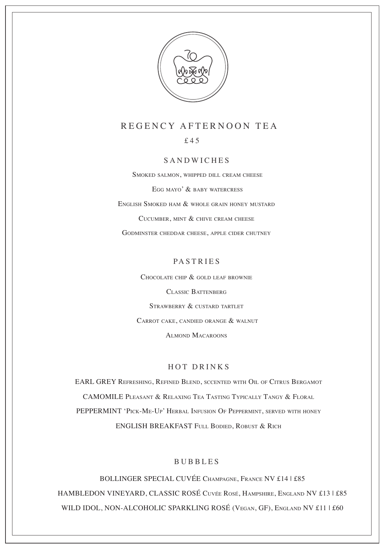

## REGENCY AFTERNOON TEA

£45

#### SANDWICHES

SMOKED SALMON, WHIPPED DILL CREAM CHEESE

EGG MAYO' & BABY WATERCRESS

ENGLISH SMOKED HAM & WHOLE GRAIN HONEY MUSTARD

CUCUMBER, MINT & CHIVE CREAM CHEESE

GODMINSTER CHEDDAR CHEESE, APPLE CIDER CHUTNEY

### PASTRIES

CHOCOLATE CHIP & GOLD LEAF BROWNIE CLASSIC BATTENBERG STRAWBERRY & CUSTARD TARTLET CARROT CAKE, CANDIED ORANGE & WALNUT ALMOND MACAROONS

#### HOT DRINKS

CAMOMILE PLEASANT & RELAXING TEA TASTING TYPICALLY TANGY & FLORAL EARL GREY REFRESHING, REFINED BLEND, SCCENTED WITH OIL OF CITRUS BERGAMOT PEPPERMINT 'PICK-ME-UP' HERBAL INFUSION OF PEPPERMINT, SERVED WITH HONEY ENGLISH BREAKFAST FULL BODIED, ROBUST & RICH

#### BUBBLES

BOLLINGER SPECIAL CUVÉE CHAMPAGNE, FRANCE NV £14 | £85 HAMBLEDON VINEYARD, CLASSIC ROSÉ CUVÉE ROSÉ, HAMPSHIRE, ENGLAND NV £13 | £85 WILD IDOL, NON-ALCOHOLIC SPARKLING ROSÉ (VEGAN, GF), ENGLAND NV £11 | £60